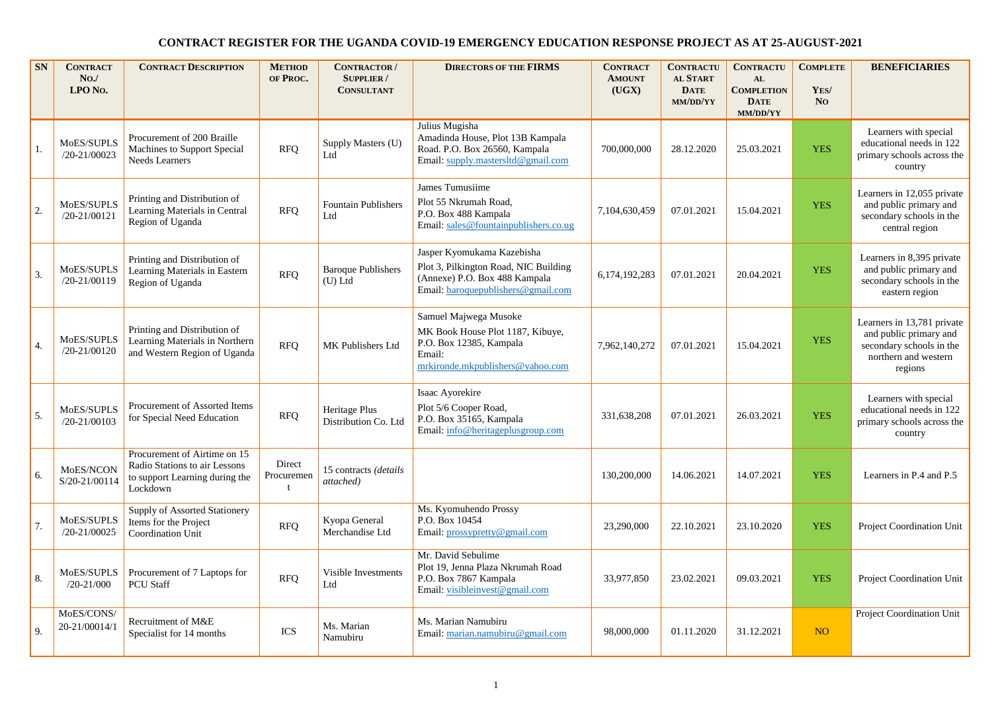# **CONTRACT REGISTER FOR THE UGANDA COVID-19 EMERGENCY EDUCATION RESPONSE PROJECT AS AT 25-AUGUST-2021**

| <b>SN</b>      | <b>CONTRACT</b><br>No.<br>LPO No. | <b>CONTRACT DESCRIPTION</b>                                                                                 | <b>METHOD</b><br>OF PROC. | <b>CONTRACTOR</b> /<br><b>SUPPLIER/</b><br><b>CONSULTANT</b> | <b>DIRECTORS OF THE FIRMS</b>                                                                                                              | <b>CONTRACT</b><br><b>AMOUNT</b><br>(UGX) | <b>CONTRACTU</b><br>AL START<br><b>DATE</b><br>MM/DD/YY | <b>CONTRACTU</b><br>AL<br><b>COMPLETION</b><br><b>DATE</b><br>MM/DD/YY | <b>COMPLETE</b><br>YES/<br>N <sub>O</sub> | <b>BENEFICIARIES</b>                                                                                                |
|----------------|-----------------------------------|-------------------------------------------------------------------------------------------------------------|---------------------------|--------------------------------------------------------------|--------------------------------------------------------------------------------------------------------------------------------------------|-------------------------------------------|---------------------------------------------------------|------------------------------------------------------------------------|-------------------------------------------|---------------------------------------------------------------------------------------------------------------------|
|                | MoES/SUPLS<br>$/20 - 21/00023$    | Procurement of 200 Braille<br><b>Machines to Support Special</b><br><b>Needs Learners</b>                   | <b>RFQ</b>                | Supply Masters (U)<br>Ltd                                    | Julius Mugisha<br>Amadinda House, Plot 13B Kampala<br>Road. P.O. Box 26560, Kampala<br>Email: supply.mastersltd@gmail.com                  | 700,000,000                               | 28.12.2020                                              | 25.03.2021                                                             | <b>YES</b>                                | Learners with special<br>educational needs in 122<br>primary schools across the<br>country                          |
| $\overline{2}$ | MoES/SUPLS<br>$/20 - 21/00121$    | Printing and Distribution of<br>Learning Materials in Central<br>Region of Uganda                           | <b>RFQ</b>                | <b>Fountain Publishers</b><br>Ltd                            | James Tumusiime<br>Plot 55 Nkrumah Road,<br>P.O. Box 488 Kampala<br>Email: sales@fountainpublishers.co.ug                                  | 7,104,630,459                             | 07.01.2021                                              | 15.04.2021                                                             | <b>YES</b>                                | Learners in 12,055 private<br>and public primary and<br>secondary schools in the<br>central region                  |
| 3.             | MoES/SUPLS<br>$/20 - 21/00119$    | Printing and Distribution of<br>Learning Materials in Eastern<br>Region of Uganda                           | <b>RFQ</b>                | <b>Baroque Publishers</b><br>$(U)$ Ltd                       | Jasper Kyomukama Kazebisha<br>Plot 3, Pilkington Road, NIC Building<br>(Annexe) P.O. Box 488 Kampala<br>Email: baroquepublishers@gmail.com | 6,174,192,283                             | 07.01.2021                                              | 20.04.2021                                                             | <b>YES</b>                                | Learners in 8,395 private<br>and public primary and<br>secondary schools in the<br>eastern region                   |
| 4.             | MoES/SUPLS<br>$/20 - 21/00120$    | Printing and Distribution of<br>Learning Materials in Northern<br>and Western Region of Uganda              | <b>RFQ</b>                | MK Publishers Ltd                                            | Samuel Majwega Musoke<br>MK Book House Plot 1187, Kibuye,<br>P.O. Box 12385, Kampala<br>Email:<br>mrkironde.mkpublishers@yahoo.com         | 7,962,140,272                             | 07.01.2021                                              | 15.04.2021                                                             | <b>YES</b>                                | Learners in 13,781 private<br>and public primary and<br>secondary schools in the<br>northern and western<br>regions |
| 5.             | MoES/SUPLS<br>$/20 - 21/00103$    | Procurement of Assorted Items<br>for Special Need Education                                                 | <b>RFQ</b>                | Heritage Plus<br>Distribution Co. Ltd                        | Isaac Ayorekire<br>Plot 5/6 Cooper Road,<br>P.O. Box 35165, Kampala<br>Email: info@heritageplusgroup.com                                   | 331,638,208                               | 07.01.2021                                              | 26.03.2021                                                             | <b>YES</b>                                | Learners with special<br>educational needs in 122<br>primary schools across the<br>country                          |
| 6.             | MoES/NCON<br>S/20-21/00114        | Procurement of Airtime on 15<br>Radio Stations to air Lessons<br>to support Learning during the<br>Lockdown | Direct<br>Procuremen      | 15 contracts (details<br>attached)                           |                                                                                                                                            | 130,200,000                               | 14.06.2021                                              | 14.07.2021                                                             | <b>YES</b>                                | Learners in P.4 and P.5                                                                                             |
|                | MoES/SUPLS<br>$/20 - 21/00025$    | <b>Supply of Assorted Stationery</b><br>Items for the Project<br><b>Coordination Unit</b>                   | <b>RFQ</b>                | Kyopa General<br>Merchandise Ltd                             | Ms. Kyomuhendo Prossy<br>P.O. Box 10454<br>Email: prossypretty@gmail.com                                                                   | 23,290,000                                | 22.10.2021                                              | 23.10.2020                                                             | <b>YES</b>                                | Project Coordination Unit                                                                                           |
| 8.             | MoES/SUPLS<br>$/20 - 21/000$      | Procurement of 7 Laptops for<br><b>PCU Staff</b>                                                            | <b>RFQ</b>                | Visible Investments<br>Ltd                                   | Mr. David Sebulime<br>Plot 19, Jenna Plaza Nkrumah Road<br>P.O. Box 7867 Kampala<br>Email: visibleinvest@gmail.com                         | 33,977,850                                | 23.02.2021                                              | 09.03.2021                                                             | <b>YES</b>                                | <b>Project Coordination Unit</b>                                                                                    |
| 9.             | MoES/CONS/<br>20-21/00014/1       | Recruitment of M&E<br>Specialist for 14 months                                                              | <b>ICS</b>                | Ms. Marian<br>Namubiru                                       | Ms. Marian Namubiru<br>Email: marian.namubiru@gmail.com                                                                                    | 98,000,000                                | 01.11.2020                                              | 31.12.2021                                                             | NO                                        | <b>Project Coordination Unit</b>                                                                                    |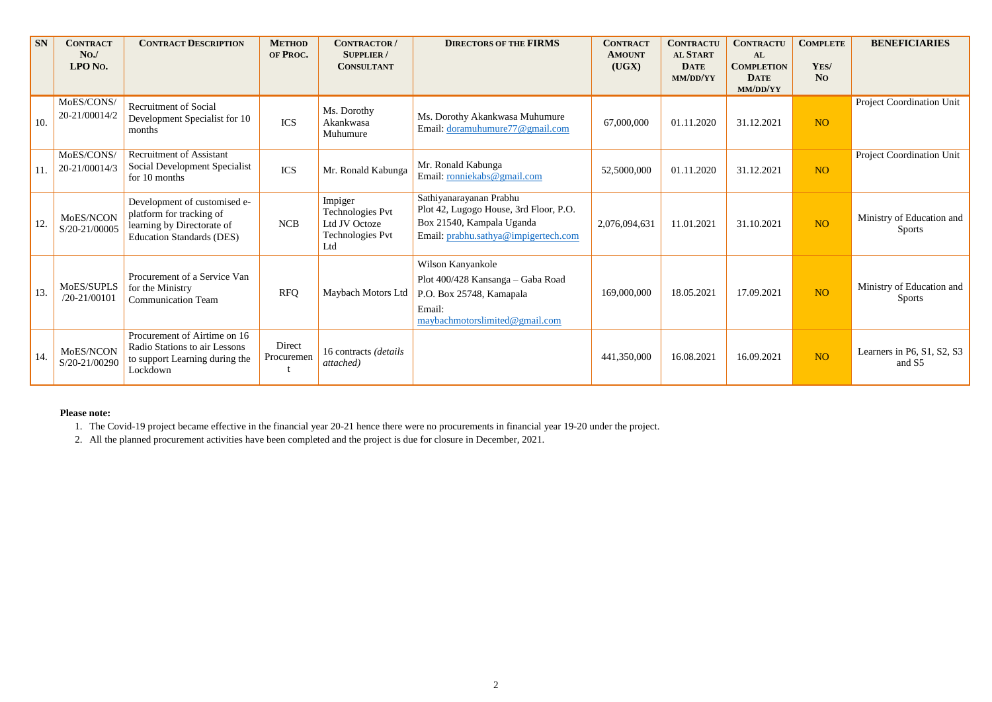| SN             | <b>CONTRACT</b><br>No.<br>LPO No. | <b>CONTRACT DESCRIPTION</b>                                                                                                | <b>METHOD</b><br>OF PROC. | <b>CONTRACTOR/</b><br><b>SUPPLIER/</b><br><b>CONSULTANT</b>                           | <b>DIRECTORS OF THE FIRMS</b>                                                                                                          | <b>CONTRACT</b><br><b>AMOUNT</b><br>(UGX) | <b>CONTRACTU</b><br><b>AL START</b><br><b>DATE</b><br>MM/DD/YY | <b>CONTRACTU</b><br>AL<br><b>COMPLETION</b><br><b>DATE</b><br>MM/DD/YY | <b>COMPLETE</b><br>YES/<br>N <sub>O</sub> | <b>BENEFICIARIES</b>                            |
|----------------|-----------------------------------|----------------------------------------------------------------------------------------------------------------------------|---------------------------|---------------------------------------------------------------------------------------|----------------------------------------------------------------------------------------------------------------------------------------|-------------------------------------------|----------------------------------------------------------------|------------------------------------------------------------------------|-------------------------------------------|-------------------------------------------------|
| 10.            | MoES/CONS/<br>20-21/00014/2       | <b>Recruitment of Social</b><br>Development Specialist for 10<br>months                                                    | <b>ICS</b>                | Ms. Dorothy<br>Akankwasa<br>Muhumure                                                  | Ms. Dorothy Akankwasa Muhumure<br>Email: doramuhumure77@gmail.com                                                                      | 67,000,000                                | 01.11.2020                                                     | 31.12.2021                                                             | <b>NO</b>                                 | Project Coordination Unit                       |
|                | MoES/CONS/<br>20-21/00014/3       | <b>Recruitment of Assistant</b><br>Social Development Specialist<br>for 10 months                                          | <b>ICS</b>                | Mr. Ronald Kabunga                                                                    | Mr. Ronald Kabunga<br>Email: ronniekabs@gmail.com                                                                                      | 52,5000,000                               | 01.11.2020                                                     | 31.12.2021                                                             | NO <sub>1</sub>                           | <b>Project Coordination Unit</b>                |
| <sup>12.</sup> | MoES/NCON<br>S/20-21/00005        | Development of customised e-<br>platform for tracking of<br>learning by Directorate of<br><b>Education Standards (DES)</b> | <b>NCB</b>                | Impiger<br><b>Technologies Pvt</b><br>Ltd JV Octoze<br><b>Technologies Pvt</b><br>Ltd | Sathiyanarayanan Prabhu<br>Plot 42, Lugogo House, 3rd Floor, P.O.<br>Box 21540, Kampala Uganda<br>Email: prabhu.sathya@impigertech.com | 2,076,094,631                             | 11.01.2021                                                     | 31.10.2021                                                             | <b>NO</b>                                 | Ministry of Education and<br><b>Sports</b>      |
| $\vert$ 13.    | MoES/SUPLS<br>$/20 - 21/00101$    | Procurement of a Service Van<br>for the Ministry<br><b>Communication Team</b>                                              | <b>RFQ</b>                | Maybach Motors Ltd                                                                    | Wilson Kanyankole<br>Plot 400/428 Kansanga - Gaba Road<br>P.O. Box 25748, Kamapala<br>Email:<br>maybachmotorslimited@gmail.com         | 169,000,000                               | 18.05.2021                                                     | 17.09.2021                                                             | <b>NO</b>                                 | Ministry of Education and<br><b>Sports</b>      |
| 14             | MoES/NCON<br>S/20-21/00290        | Procurement of Airtime on 16<br>Radio Stations to air Lessons<br>to support Learning during the<br>Lockdown                | Direct<br>Procuremen      | 16 contracts (details<br>attached)                                                    |                                                                                                                                        | 441,350,000                               | 16.08.2021                                                     | 16.09.2021                                                             | NO <sub>1</sub>                           | Learners in $P6$ , $S1$ , $S2$ , $S3$<br>and S5 |

## **Please note:**

1. The Covid-19 project became effective in the financial year 20-21 hence there were no procurements in financial year 19-20 under the project.

2. All the planned procurement activities have been completed and the project is due for closure in December, 2021.